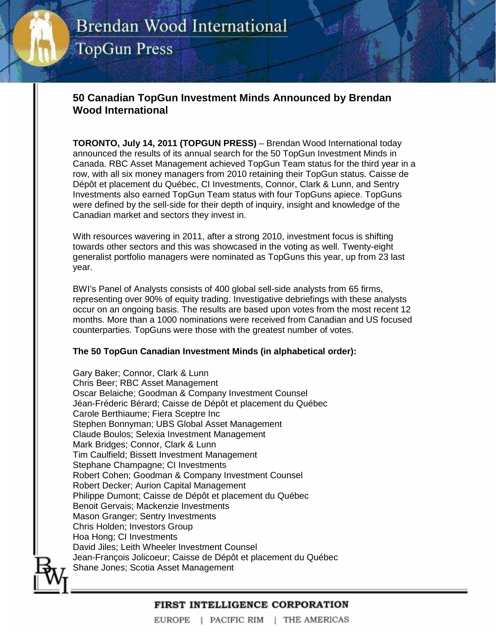# **Brendan Wood International TopGun Press**

## **50 Canadian TopGun Investment Minds Announced by Brendan Wood International**

**TORONTO, July 14, 2011 (TOPGUN PRESS)** – Brendan Wood International today announced the results of its annual search for the 50 TopGun Investment Minds in Canada. RBC Asset Management achieved TopGun Team status for the third year in a row, with all six money managers from 2010 retaining their TopGun status. Caisse de Dépôt et placement du Québec, CI Investments, Connor, Clark & Lunn, and Sentry Investments also earned TopGun Team status with four TopGuns apiece. TopGuns were defined by the sell-side for their depth of inquiry, insight and knowledge of the Canadian market and sectors they invest in.

With resources wavering in 2011, after a strong 2010, investment focus is shifting towards other sectors and this was showcased in the voting as well. Twenty-eight generalist portfolio managers were nominated as TopGuns this year, up from 23 last year.

BWI's Panel of Analysts consists of 400 global sell-side analysts from 65 firms, representing over 90% of equity trading. Investigative debriefings with these analysts occur on an ongoing basis. The results are based upon votes from the most recent 12 months. More than a 1000 nominations were received from Canadian and US focused counterparties. TopGuns were those with the greatest number of votes.

### **The 50 TopGun Canadian Investment Minds (in alphabetical order):**

Gary Baker; Connor, Clark & Lunn Chris Beer; RBC Asset Management Oscar Belaiche; Goodman & Company Investment Counsel Jéan-Fréderic Bérard; Caisse de Dépôt et placement du Québec Carole Berthiaume; Fiera Sceptre Inc Stephen Bonnyman; UBS Global Asset Management Claude Boulos; Selexia Investment Management Mark Bridges; Connor, Clark & Lunn Tim Caulfield; Bissett Investment Management Stephane Champagne; CI Investments Robert Cohen; Goodman & Company Investment Counsel Robert Decker; Aurion Capital Management Philippe Dumont; Caisse de Dépôt et placement du Québec Benoit Gervais; Mackenzie Investments Mason Granger; Sentry Investments Chris Holden; Investors Group Hoa Hong; CI Investments David Jiles; Leith Wheeler Investment Counsel Jean-François Jolicoeur; Caisse de Dépôt et placement du Québec Shane Jones; Scotia Asset Management

### FIRST INTELLIGENCE CORPORATION